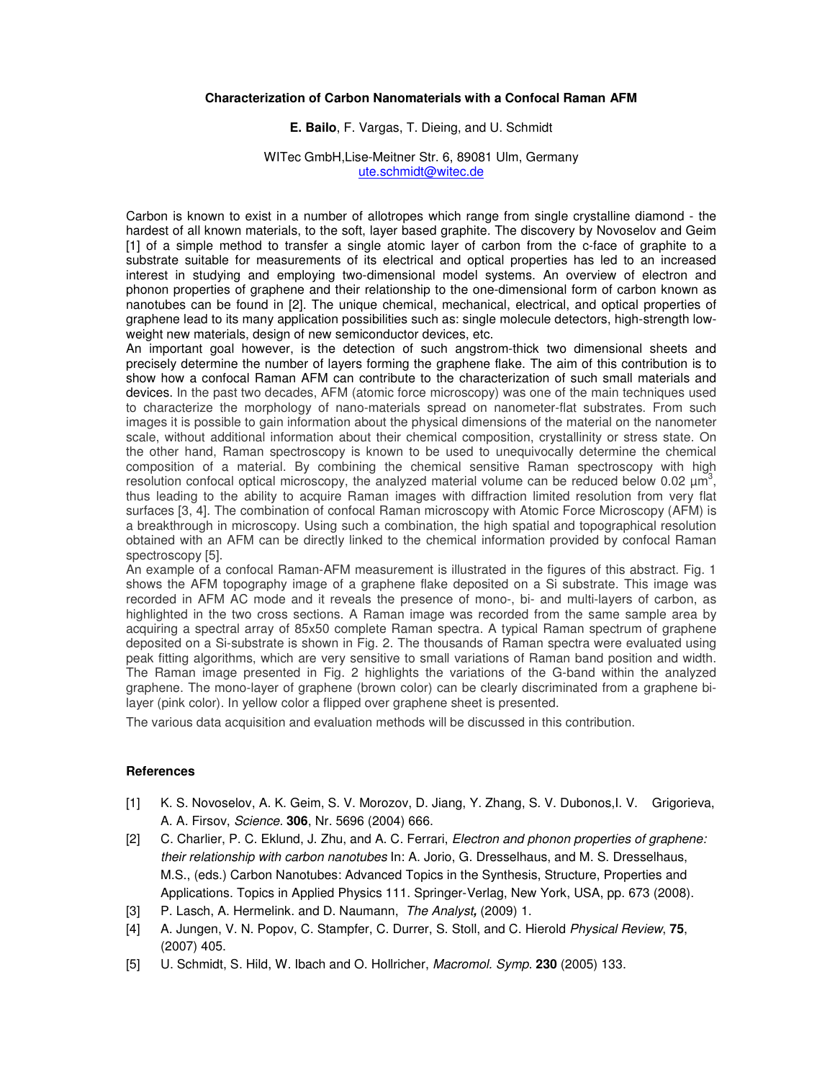## **Characterization of Carbon Nanomaterials with a Confocal Raman AFM**

# **E. Bailo**, F. Vargas, T. Dieing, and U. Schmidt

#### WITec GmbH,Lise-Meitner Str. 6, 89081 Ulm, Germany ute.schmidt@witec.de

Carbon is known to exist in a number of allotropes which range from single crystalline diamond - the hardest of all known materials, to the soft, layer based graphite. The discovery by Novoselov and Geim [1] of a simple method to transfer a single atomic layer of carbon from the c-face of graphite to a substrate suitable for measurements of its electrical and optical properties has led to an increased interest in studying and employing two-dimensional model systems. An overview of electron and phonon properties of graphene and their relationship to the one-dimensional form of carbon known as nanotubes can be found in [2]. The unique chemical, mechanical, electrical, and optical properties of graphene lead to its many application possibilities such as: single molecule detectors, high-strength lowweight new materials, design of new semiconductor devices, etc.

An important goal however, is the detection of such angstrom-thick two dimensional sheets and precisely determine the number of layers forming the graphene flake. The aim of this contribution is to show how a confocal Raman AFM can contribute to the characterization of such small materials and devices. In the past two decades, AFM (atomic force microscopy) was one of the main techniques used to characterize the morphology of nano-materials spread on nanometer-flat substrates. From such images it is possible to gain information about the physical dimensions of the material on the nanometer scale, without additional information about their chemical composition, crystallinity or stress state. On the other hand, Raman spectroscopy is known to be used to unequivocally determine the chemical composition of a material. By combining the chemical sensitive Raman spectroscopy with high resolution confocal optical microscopy, the analyzed material volume can be reduced below 0.02  $\mu m^3$ , thus leading to the ability to acquire Raman images with diffraction limited resolution from very flat surfaces [3, 4]. The combination of confocal Raman microscopy with Atomic Force Microscopy (AFM) is a breakthrough in microscopy. Using such a combination, the high spatial and topographical resolution obtained with an AFM can be directly linked to the chemical information provided by confocal Raman spectroscopy [5].

An example of a confocal Raman-AFM measurement is illustrated in the figures of this abstract. Fig. 1 shows the AFM topography image of a graphene flake deposited on a Si substrate. This image was recorded in AFM AC mode and it reveals the presence of mono-, bi- and multi-layers of carbon, as highlighted in the two cross sections. A Raman image was recorded from the same sample area by acquiring a spectral array of 85x50 complete Raman spectra. A typical Raman spectrum of graphene deposited on a Si-substrate is shown in Fig. 2. The thousands of Raman spectra were evaluated using peak fitting algorithms, which are very sensitive to small variations of Raman band position and width. The Raman image presented in Fig. 2 highlights the variations of the G-band within the analyzed graphene. The mono-layer of graphene (brown color) can be clearly discriminated from a graphene bilayer (pink color). In yellow color a flipped over graphene sheet is presented.

The various data acquisition and evaluation methods will be discussed in this contribution.

## **References**

- [1] K. S. Novoselov, A. K. Geim, S. V. Morozov, D. Jiang, Y. Zhang, S. V. Dubonos,I. V. Grigorieva, A. A. Firsov, Science. **306**, Nr. 5696 (2004) 666.
- [2] C. Charlier, P. C. Eklund, J. Zhu, and A. C. Ferrari, Electron and phonon properties of graphene: their relationship with carbon nanotubes In: A. Jorio, G. Dresselhaus, and M. S. Dresselhaus, M.S., (eds.) Carbon Nanotubes: Advanced Topics in the Synthesis, Structure, Properties and Applications. Topics in Applied Physics 111. Springer-Verlag, New York, USA, pp. 673 (2008).
- [3] P. Lasch, A. Hermelink. and D. Naumann, The Analyst**,** (2009) 1.
- [4] A. Jungen, V. N. Popov, C. Stampfer, C. Durrer, S. Stoll, and C. Hierold Physical Review, **75**, (2007) 405.
- [5] U. Schmidt, S. Hild, W. Ibach and O. Hollricher, Macromol. Symp. **230** (2005) 133.